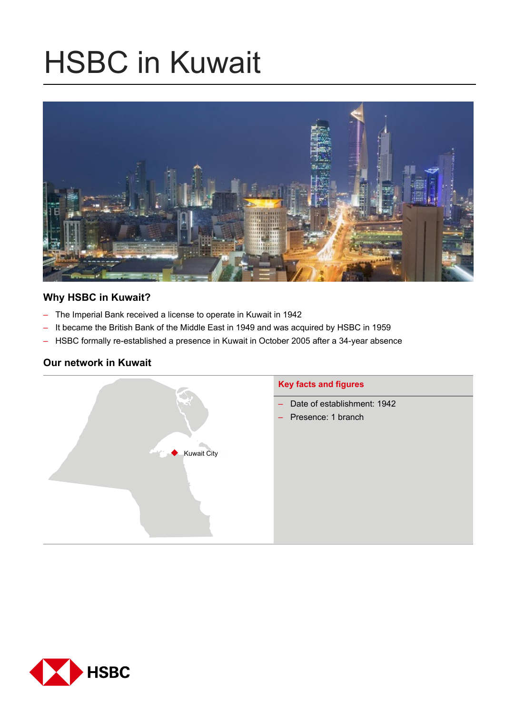# HSBC in Kuwait



# **Why HSBC in Kuwait?**

- The Imperial Bank received a license to operate in Kuwait in 1942
- It became the British Bank of the Middle East in 1949 and was acquired by HSBC in 1959
- HSBC formally re-established a presence in Kuwait in October 2005 after a 34-year absence

# **Our network in Kuwait**